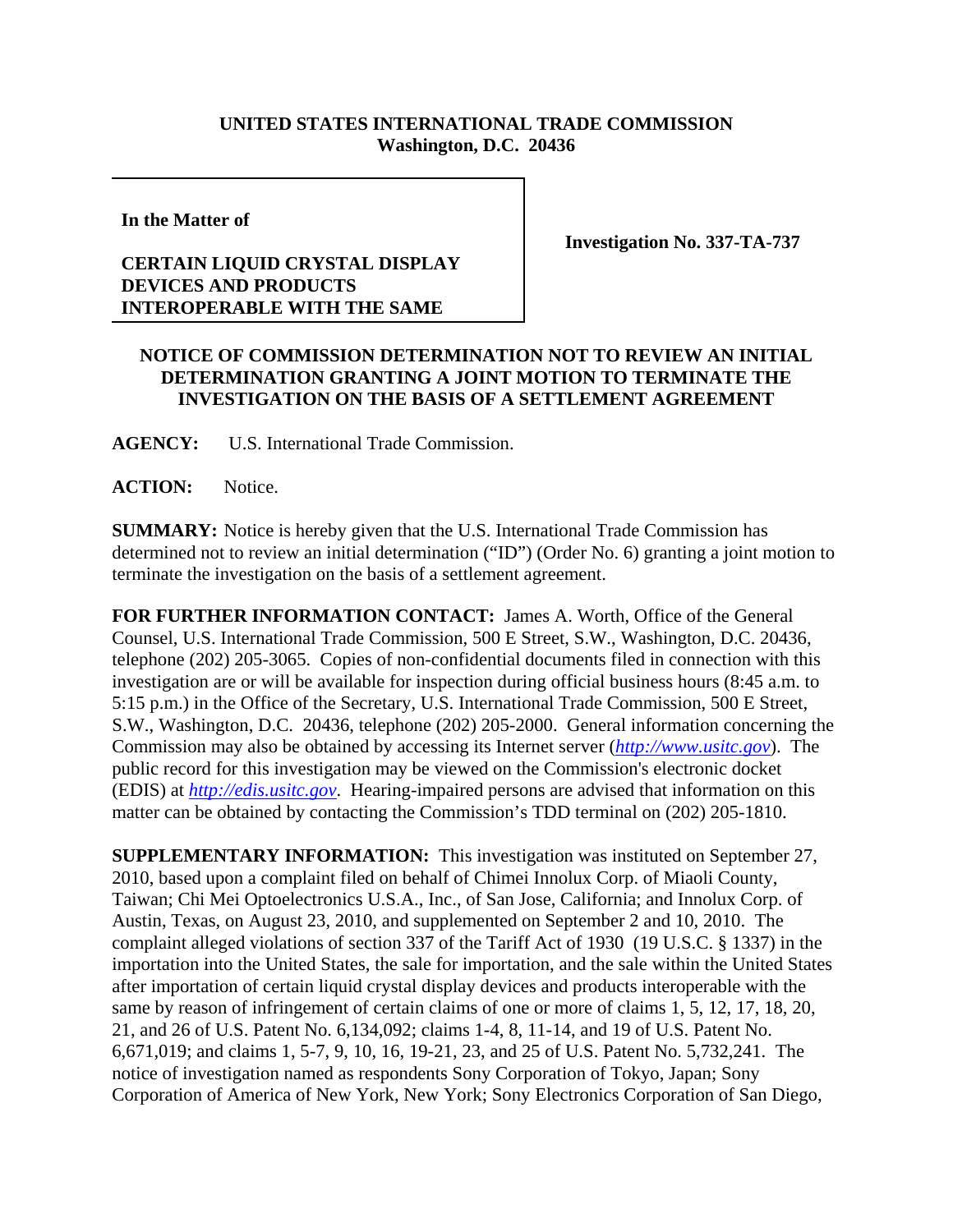## **UNITED STATES INTERNATIONAL TRADE COMMISSION Washington, D.C. 20436**

**In the Matter of**

## **CERTAIN LIQUID CRYSTAL DISPLAY DEVICES AND PRODUCTS INTEROPERABLE WITH THE SAME**

**Investigation No. 337-TA-737**

## **NOTICE OF COMMISSION DETERMINATION NOT TO REVIEW AN INITIAL DETERMINATION GRANTING A JOINT MOTION TO TERMINATE THE INVESTIGATION ON THE BASIS OF A SETTLEMENT AGREEMENT**

**AGENCY:** U.S. International Trade Commission.

**ACTION:** Notice.

**SUMMARY:** Notice is hereby given that the U.S. International Trade Commission has determined not to review an initial determination ("ID") (Order No. 6) granting a joint motion to terminate the investigation on the basis of a settlement agreement.

**FOR FURTHER INFORMATION CONTACT:** James A. Worth, Office of the General Counsel, U.S. International Trade Commission, 500 E Street, S.W., Washington, D.C. 20436, telephone (202) 205-3065. Copies of non-confidential documents filed in connection with this investigation are or will be available for inspection during official business hours (8:45 a.m. to 5:15 p.m.) in the Office of the Secretary, U.S. International Trade Commission, 500 E Street, S.W., Washington, D.C. 20436, telephone (202) 205-2000. General information concerning the Commission may also be obtained by accessing its Internet server (*http://www.usitc.gov*). The public record for this investigation may be viewed on the Commission's electronic docket (EDIS) at *http://edis.usitc.gov*. Hearing-impaired persons are advised that information on this matter can be obtained by contacting the Commission's TDD terminal on (202) 205-1810.

**SUPPLEMENTARY INFORMATION:** This investigation was instituted on September 27, 2010, based upon a complaint filed on behalf of Chimei Innolux Corp. of Miaoli County, Taiwan; Chi Mei Optoelectronics U.S.A., Inc., of San Jose, California; and Innolux Corp. of Austin, Texas, on August 23, 2010, and supplemented on September 2 and 10, 2010. The complaint alleged violations of section 337 of the Tariff Act of 1930 (19 U.S.C. § 1337) in the importation into the United States, the sale for importation, and the sale within the United States after importation of certain liquid crystal display devices and products interoperable with the same by reason of infringement of certain claims of one or more of claims 1, 5, 12, 17, 18, 20, 21, and 26 of U.S. Patent No. 6,134,092; claims 1-4, 8, 11-14, and 19 of U.S. Patent No. 6,671,019; and claims 1, 5-7, 9, 10, 16, 19-21, 23, and 25 of U.S. Patent No. 5,732,241. The notice of investigation named as respondents Sony Corporation of Tokyo, Japan; Sony Corporation of America of New York, New York; Sony Electronics Corporation of San Diego,